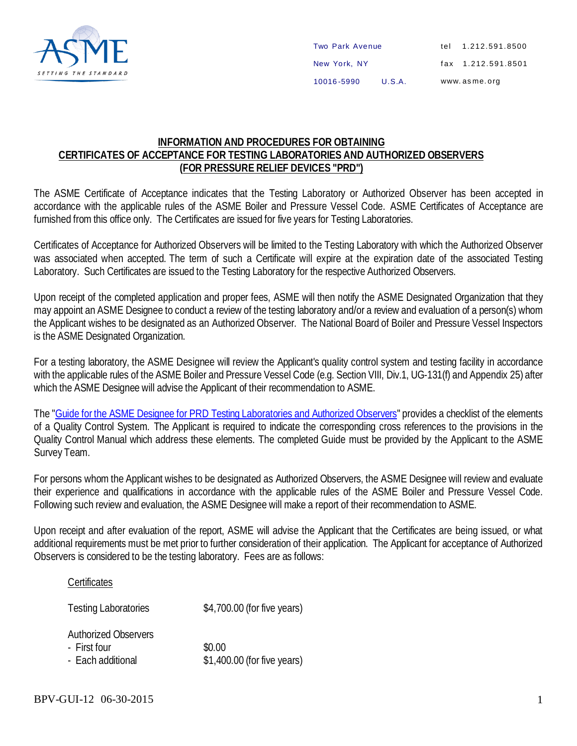

## **INFORMATION AND PROCEDURES FOR OBTAINING CERTIFICATES OF ACCEPTANCE FOR TESTING LABORATORIES AND AUTHORIZED OBSERVERS (FOR PRESSURE RELIEF DEVICES "PRD")**

The ASME Certificate of Acceptance indicates that the Testing Laboratory or Authorized Observer has been accepted in accordance with the applicable rules of the ASME Boiler and Pressure Vessel Code. ASME Certificates of Acceptance are furnished from this office only. The Certificates are issued for five years for Testing Laboratories.

Certificates of Acceptance for Authorized Observers will be limited to the Testing Laboratory with which the Authorized Observer was associated when accepted. The term of such a Certificate will expire at the expiration date of the associated Testing Laboratory. Such Certificates are issued to the Testing Laboratory for the respective Authorized Observers.

Upon receipt of the completed application and proper fees, ASME will then notify the ASME Designated Organization that they may appoint an ASME Designee to conduct a review of the testing laboratory and/or a review and evaluation of a person(s) whom the Applicant wishes to be designated as an Authorized Observer. The National Board of Boiler and Pressure Vessel Inspectors is the ASME Designated Organization.

For a testing laboratory, the ASME Designee will review the Applicant's quality control system and testing facility in accordance with the applicable rules of the ASME Boiler and Pressure Vessel Code (e.g. Section VIII, Div.1, UG-131(f) and Appendix 25) after which the ASME Designee will advise the Applicant of their recommendation to ASME.

The "Guide for the ASME Designee for PRD Testing [Laboratories](https://www.asme.org/wwwasmeorg/media/ResourceFiles/Shop/Certification%20%26%20Accreditation/PRD-Testing-Lab/PRD-Testing-Lab_Forms-and-Resources_Checklist.pdf) and Authorized Observers" provides a checklist of the elements of a Quality Control System. The Applicant is required to indicate the corresponding cross references to the provisions in the Quality Control Manual which address these elements. The completed Guide must be provided by the Applicant to the ASME Survey Team.

For persons whom the Applicant wishes to be designated as Authorized Observers, the ASME Designee will review and evaluate their experience and qualifications in accordance with the applicable rules of the ASME Boiler and Pressure Vessel Code. Following such review and evaluation, the ASME Designee will make a report of their recommendation to ASME.

Upon receipt and after evaluation of the report, ASME will advise the Applicant that the Certificates are being issued, or what additional requirements must be met prior to further consideration of their application. The Applicant for acceptance of Authorized Observers is considered to be the testing laboratory. Fees are as follows:

## **Certificates**

| <b>Testing Laboratories</b>                                      | \$4,700.00 (for five years)           |
|------------------------------------------------------------------|---------------------------------------|
| <b>Authorized Observers</b><br>- First four<br>- Each additional | \$0.00<br>\$1,400.00 (for five years) |